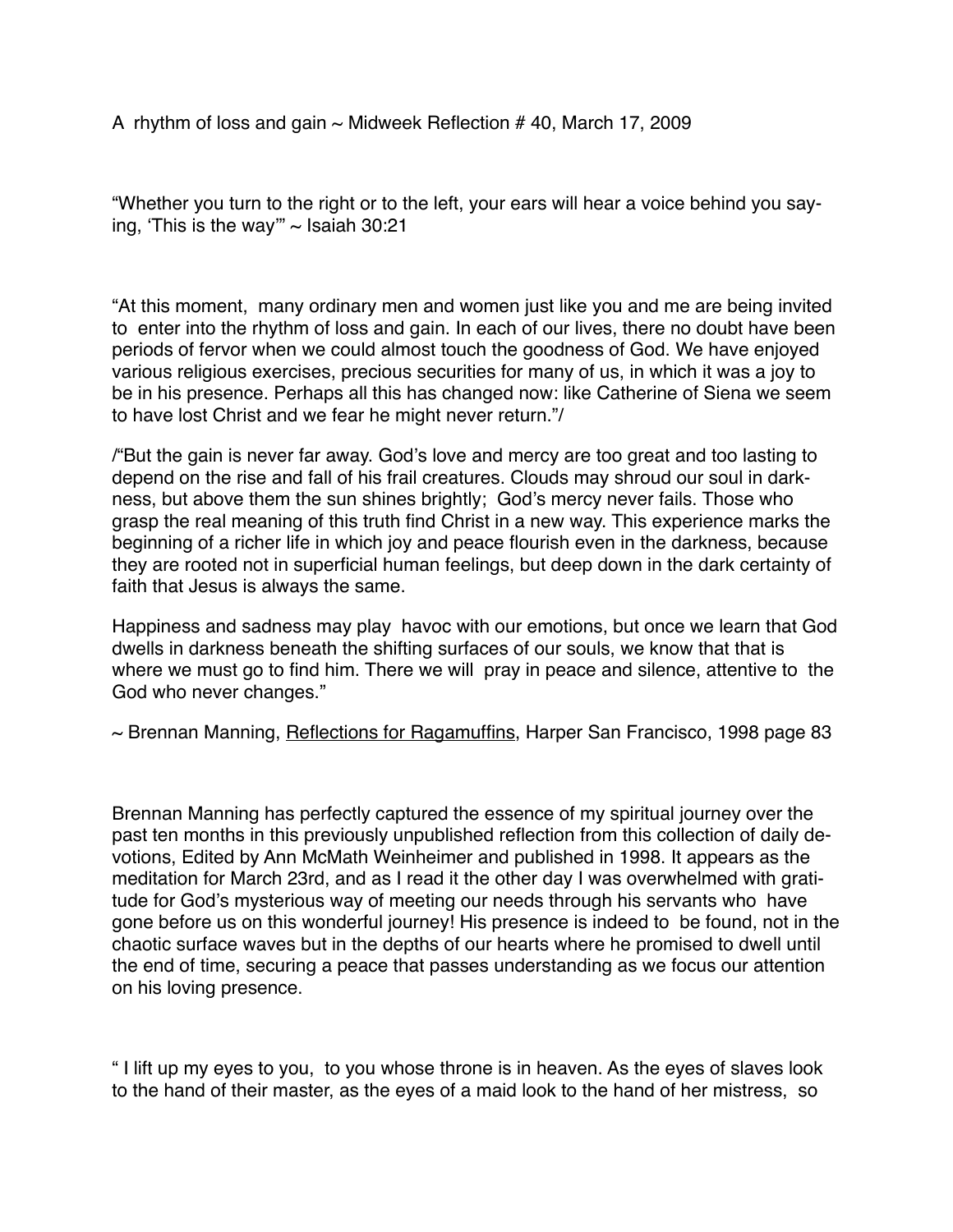A rhythm of loss and gain  $\sim$  Midweek Reflection # 40, March 17, 2009

"Whether you turn to the right or to the left, your ears will hear a voice behind you saying, 'This is the way"  $\sim$  Isaiah 30:21

"At this moment, many ordinary men and women just like you and me are being invited to enter into the rhythm of loss and gain. In each of our lives, there no doubt have been periods of fervor when we could almost touch the goodness of God. We have enjoyed various religious exercises, precious securities for many of us, in which it was a joy to be in his presence. Perhaps all this has changed now: like Catherine of Siena we seem to have lost Christ and we fear he might never return."/

/"But the gain is never far away. God's love and mercy are too great and too lasting to depend on the rise and fall of his frail creatures. Clouds may shroud our soul in darkness, but above them the sun shines brightly; God's mercy never fails. Those who grasp the real meaning of this truth find Christ in a new way. This experience marks the beginning of a richer life in which joy and peace flourish even in the darkness, because they are rooted not in superficial human feelings, but deep down in the dark certainty of faith that Jesus is always the same.

Happiness and sadness may play havoc with our emotions, but once we learn that God dwells in darkness beneath the shifting surfaces of our souls, we know that that is where we must go to find him. There we will pray in peace and silence, attentive to the God who never changes."

~ Brennan Manning, Reflections for Ragamuffins, Harper San Francisco, 1998 page 83

Brennan Manning has perfectly captured the essence of my spiritual journey over the past ten months in this previously unpublished reflection from this collection of daily devotions, Edited by Ann McMath Weinheimer and published in 1998. It appears as the meditation for March 23rd, and as I read it the other day I was overwhelmed with gratitude for God's mysterious way of meeting our needs through his servants who have gone before us on this wonderful journey! His presence is indeed to be found, not in the chaotic surface waves but in the depths of our hearts where he promised to dwell until the end of time, securing a peace that passes understanding as we focus our attention on his loving presence.

" I lift up my eyes to you, to you whose throne is in heaven. As the eyes of slaves look to the hand of their master, as the eyes of a maid look to the hand of her mistress, so